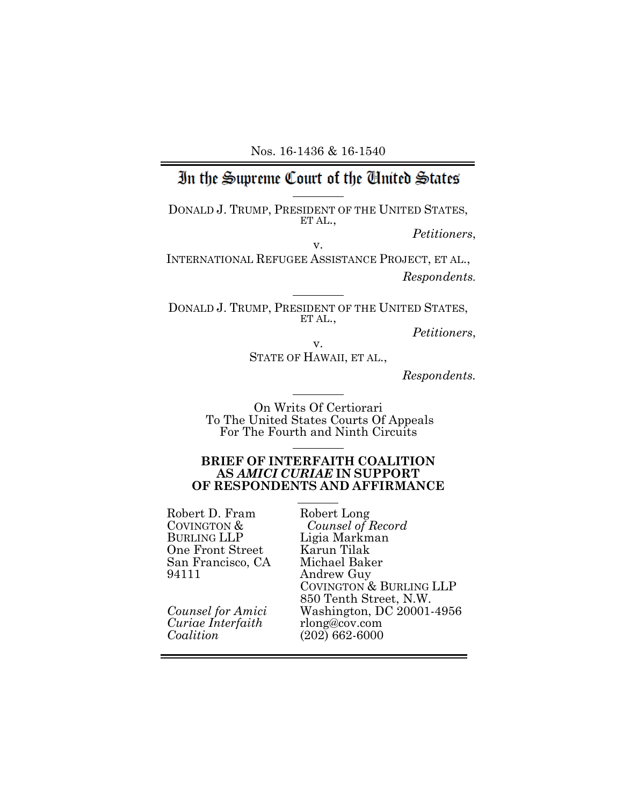# In the Supreme Court of the Cinted States

 $\overline{a}$ 

 $\overline{a}$ 

 $\overline{a}$ 

DONALD J. TRUMP, PRESIDENT OF THE UNITED STATES, ET AL.,

*Petitioners*, v.

INTERNATIONAL REFUGEE ASSISTANCE PROJECT, ET AL., *Respondents.*

DONALD J. TRUMP, PRESIDENT OF THE UNITED STATES, ET AL.,

*Petitioners*, v.

STATE OF HAWAII, ET AL.,

*Respondents.*

On Writs Of Certiorari To The United States Courts Of Appeals For The Fourth and Ninth Circuits

#### **BRIEF OF INTERFAITH COALITION AS** *AMICI CURIAE* **IN SUPPORT OF RESPONDENTS AND AFFIRMANCE**

 Robert D. Fram COVINGTON & BURLING LLP One Front Street San Francisco, CA 94111

*Counsel for Amici Curiae Interfaith Coalition*

Robert Long *Counsel of Record* Ligia Markman Karun Tilak Michael Baker Andrew Guy COVINGTON & BURLING LLP 850 Tenth Street, N.W. Washington, DC 20001-4956 rlong@cov.com (202) 662-6000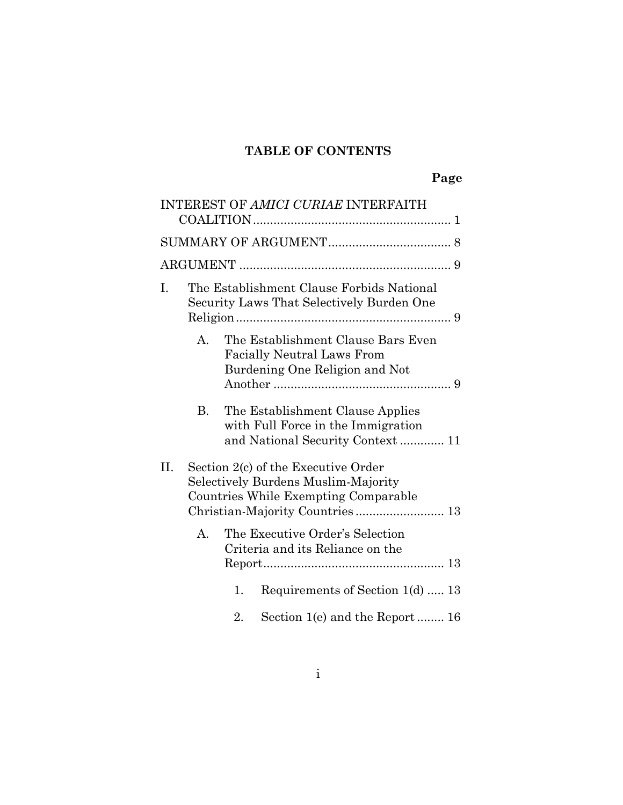## **TABLE OF CONTENTS**

| INTEREST OF AMICI CURIAE INTERFAITH                                                                                                                          |  |
|--------------------------------------------------------------------------------------------------------------------------------------------------------------|--|
|                                                                                                                                                              |  |
|                                                                                                                                                              |  |
| The Establishment Clause Forbids National<br>I.<br>Security Laws That Selectively Burden One                                                                 |  |
| The Establishment Clause Bars Even<br>$A_{\cdot}$<br><b>Facially Neutral Laws From</b><br>Burdening One Religion and Not                                     |  |
| The Establishment Clause Applies<br>В.<br>with Full Force in the Immigration<br>and National Security Context 11                                             |  |
| II.<br>Section 2(c) of the Executive Order<br>Selectively Burdens Muslim-Majority<br>Countries While Exempting Comparable<br>Christian-Majority Countries 13 |  |
| The Executive Order's Selection<br>A.<br>Criteria and its Reliance on the                                                                                    |  |
| Requirements of Section 1(d)  13<br>1.                                                                                                                       |  |
| 2.<br>Section 1(e) and the Report  16                                                                                                                        |  |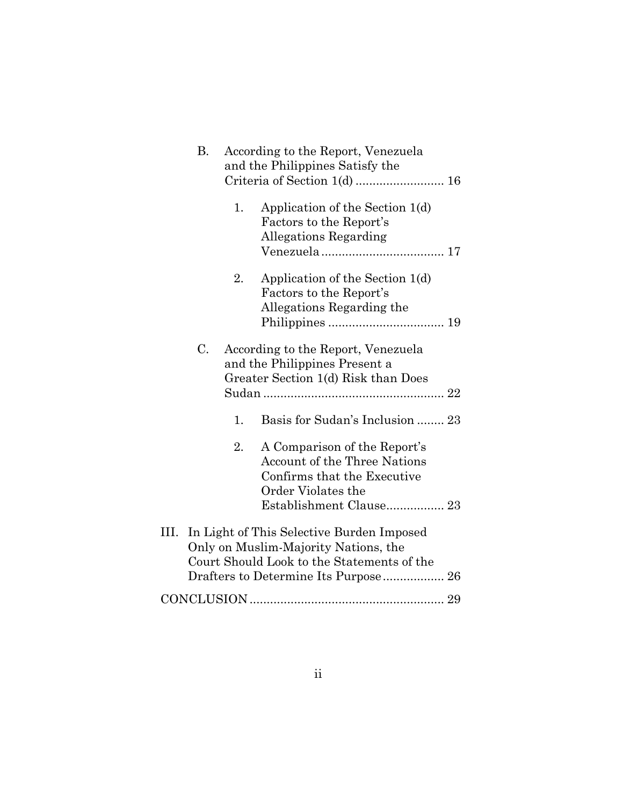|      | В. |    | According to the Report, Venezuela<br>and the Philippines Satisfy the                                                                               |  |
|------|----|----|-----------------------------------------------------------------------------------------------------------------------------------------------------|--|
|      |    | 1. | Application of the Section 1(d)<br>Factors to the Report's<br>Allegations Regarding                                                                 |  |
|      |    | 2. | Application of the Section 1(d)<br>Factors to the Report's<br>Allegations Regarding the                                                             |  |
|      | C. |    | According to the Report, Venezuela<br>and the Philippines Present a<br>Greater Section 1(d) Risk than Does                                          |  |
|      |    | 1. | Basis for Sudan's Inclusion  23                                                                                                                     |  |
|      |    | 2. | A Comparison of the Report's<br><b>Account of the Three Nations</b><br>Confirms that the Executive<br>Order Violates the<br>Establishment Clause 23 |  |
| III. |    |    | In Light of This Selective Burden Imposed<br>Only on Muslim-Majority Nations, the<br>Court Should Look to the Statements of the                     |  |
|      |    |    |                                                                                                                                                     |  |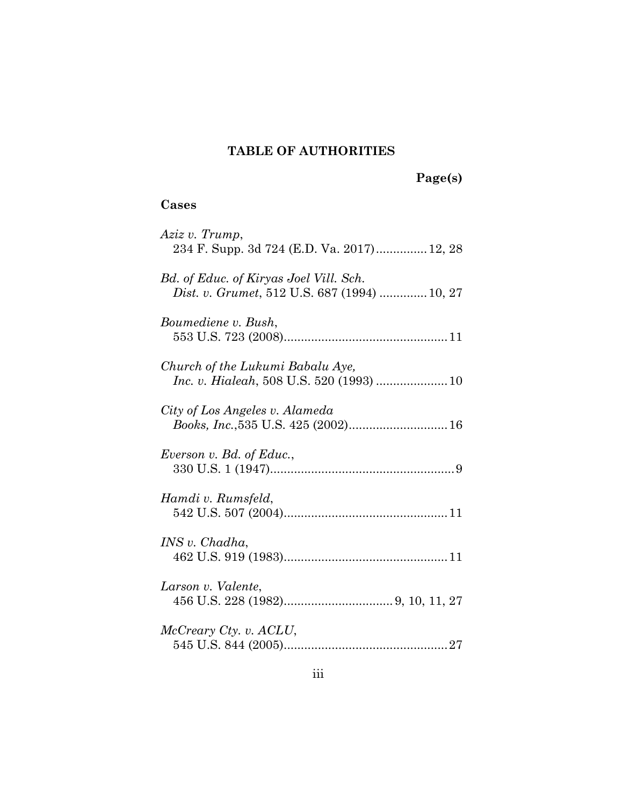## **TABLE OF AUTHORITIES**

# **Page(s)**

## **Cases**

| Aziz v. Trump,<br>234 F. Supp. 3d 724 (E.D. Va. 2017) 12, 28                           |
|----------------------------------------------------------------------------------------|
| Bd. of Educ. of Kiryas Joel Vill. Sch.<br>Dist. v. Grumet, 512 U.S. 687 (1994)  10, 27 |
| Boumediene v. Bush,                                                                    |
| Church of the Lukumi Babalu Aye,                                                       |
| City of Los Angeles v. Alameda                                                         |
| Everson v. Bd. of Educ.,                                                               |
| Hamdi v. Rumsfeld,                                                                     |
| INS v. Chadha.                                                                         |
| Larson v. Valente,                                                                     |
| McCreary Cty. v. ACLU,                                                                 |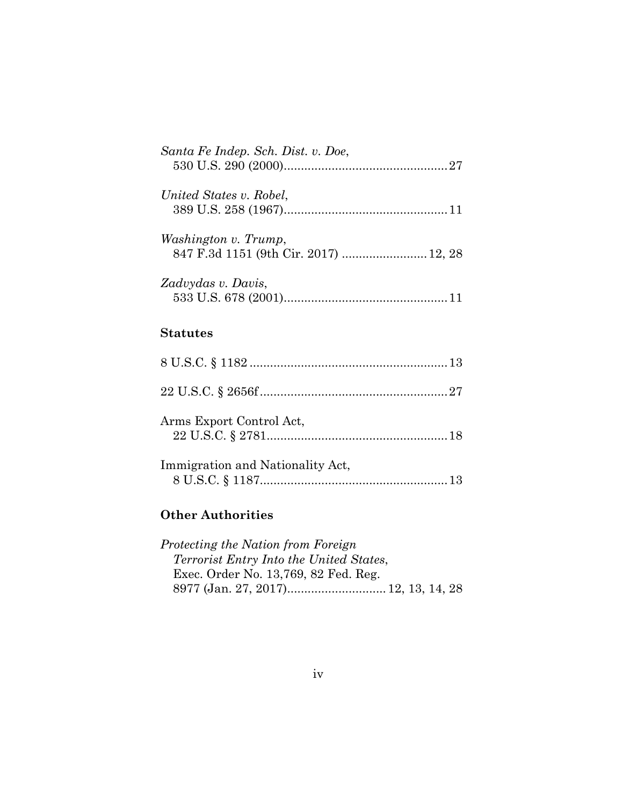| Santa Fe Indep. Sch. Dist. v. Doe,                            |  |
|---------------------------------------------------------------|--|
| United States v. Robel,                                       |  |
| Washington v. Trump,<br>847 F.3d 1151 (9th Cir. 2017)  12, 28 |  |
| Zadvydas v. Davis,                                            |  |
| <b>Statutes</b>                                               |  |
|                                                               |  |
|                                                               |  |
| $\Lambda_{\text{rms}}$ Fynort Control $\Lambda$ ot            |  |

| Arms Export Control Act,         |  |
|----------------------------------|--|
| Immigration and Nationality Act, |  |

## **Other Authorities**

| Protecting the Nation from Foreign             |  |  |
|------------------------------------------------|--|--|
| <i>Terrorist Entry Into the United States,</i> |  |  |
| Exec. Order No. 13,769, 82 Fed. Reg.           |  |  |
|                                                |  |  |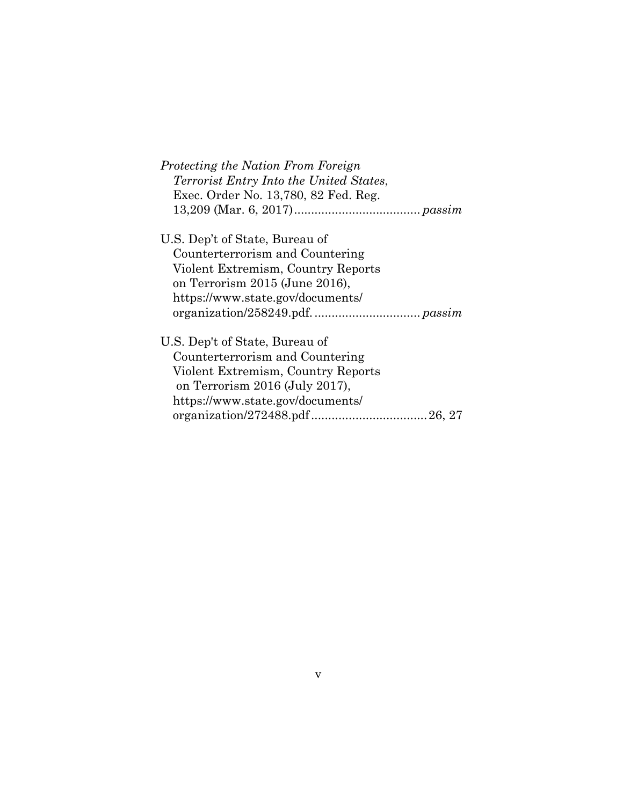| Protecting the Nation From Foreign             |
|------------------------------------------------|
| <i>Terrorist Entry Into the United States,</i> |
| Exec. Order No. 13,780, 82 Fed. Reg.           |
|                                                |
| U.S. Dep't of State, Bureau of                 |
| Counterterrorism and Countering                |
| Violent Extremism, Country Reports             |
| on Terrorism 2015 (June 2016),                 |
| https://www.state.gov/documents/               |
|                                                |
| U.S. Dep't of State, Bureau of                 |
| Counterterrorism and Countering                |
| Violent Extremism, Country Reports             |
| on Terrorism $2016$ (July $2017$ ),            |
| https://www.state.gov/documents/               |
|                                                |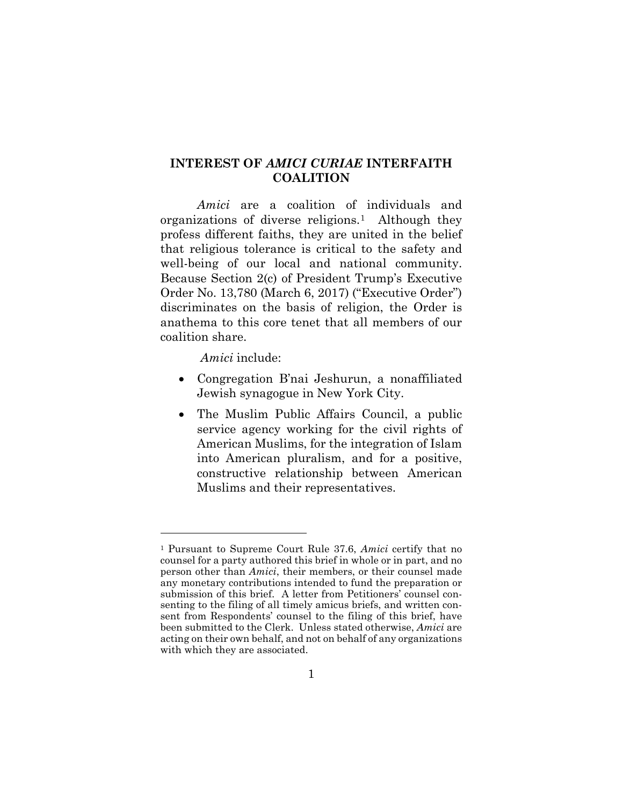### <span id="page-6-0"></span>**INTEREST OF** *AMICI CURIAE* **INTERFAITH COALITION**

*Amici* are a coalition of individuals and organizations of diverse religions.[1](#page-6-1) Although they profess different faiths, they are united in the belief that religious tolerance is critical to the safety and well-being of our local and national community. Because Section 2(c) of President Trump's Executive Order No. 13,780 (March 6, 2017) ("Executive Order") discriminates on the basis of religion, the Order is anathema to this core tenet that all members of our coalition share.

*Amici* include:

- Congregation B'nai Jeshurun, a nonaffiliated Jewish synagogue in New York City.
- The Muslim Public Affairs Council, a public service agency working for the civil rights of American Muslims, for the integration of Islam into American pluralism, and for a positive, constructive relationship between American Muslims and their representatives.

<span id="page-6-1"></span><sup>1</sup> Pursuant to Supreme Court Rule 37.6, *Amici* certify that no counsel for a party authored this brief in whole or in part, and no person other than *Amici*, their members, or their counsel made any monetary contributions intended to fund the preparation or submission of this brief. A letter from Petitioners' counsel consenting to the filing of all timely amicus briefs, and written consent from Respondents' counsel to the filing of this brief, have been submitted to the Clerk. Unless stated otherwise, *Amici* are acting on their own behalf, and not on behalf of any organizations with which they are associated.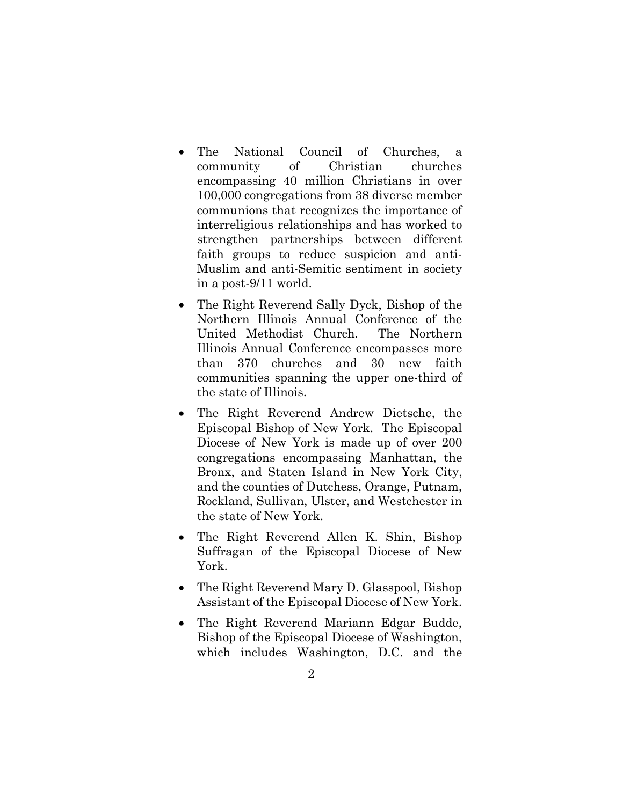- The National Council of Churches, a community of Christian churches encompassing 40 million Christians in over 100,000 congregations from 38 diverse member communions that recognizes the importance of interreligious relationships and has worked to strengthen partnerships between different faith groups to reduce suspicion and anti-Muslim and anti-Semitic sentiment in society in a post-9/11 world.
- The Right Reverend Sally Dyck, Bishop of the Northern Illinois Annual Conference of the United Methodist Church. The Northern Illinois Annual Conference encompasses more than 370 churches and 30 new faith communities spanning the upper one-third of the state of Illinois.
- The Right Reverend Andrew Dietsche, the Episcopal Bishop of New York. The Episcopal Diocese of New York is made up of over 200 congregations encompassing Manhattan, the Bronx, and Staten Island in New York City, and the counties of Dutchess, Orange, Putnam, Rockland, Sullivan, Ulster, and Westchester in the state of New York.
- The Right Reverend Allen K. Shin, Bishop Suffragan of the Episcopal Diocese of New York.
- The Right Reverend Mary D. Glasspool, Bishop Assistant of the Episcopal Diocese of New York.
- The Right Reverend Mariann Edgar Budde, Bishop of the Episcopal Diocese of Washington, which includes Washington, D.C. and the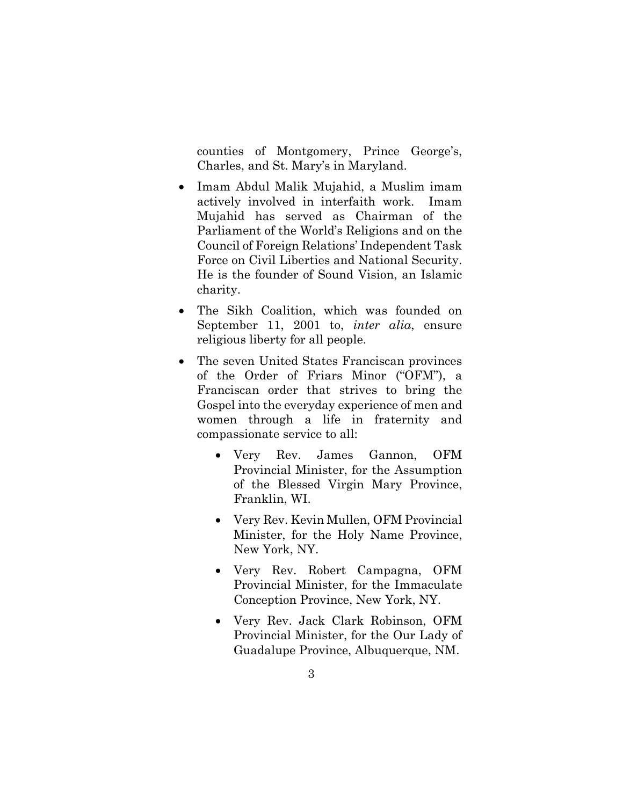counties of Montgomery, Prince George's, Charles, and St. Mary's in Maryland.

- Imam Abdul Malik Mujahid, a Muslim imam actively involved in interfaith work. Imam Mujahid has served as Chairman of the Parliament of the World's Religions and on the Council of Foreign Relations' Independent Task Force on Civil Liberties and National Security. He is the founder of Sound Vision, an Islamic charity.
- The Sikh Coalition, which was founded on September 11, 2001 to, *inter alia*, ensure religious liberty for all people.
- The seven United States Franciscan provinces of the Order of Friars Minor ("OFM"), a Franciscan order that strives to bring the Gospel into the everyday experience of men and women through a life in fraternity and compassionate service to all:
	- Very Rev. James Gannon, OFM Provincial Minister, for the Assumption of the Blessed Virgin Mary Province, Franklin, WI.
	- Very Rev. Kevin Mullen, OFM Provincial Minister, for the Holy Name Province, New York, NY.
	- Very Rev. Robert Campagna, OFM Provincial Minister, for the Immaculate Conception Province, New York, NY.
	- Very Rev. Jack Clark Robinson, OFM Provincial Minister, for the Our Lady of Guadalupe Province, Albuquerque, NM.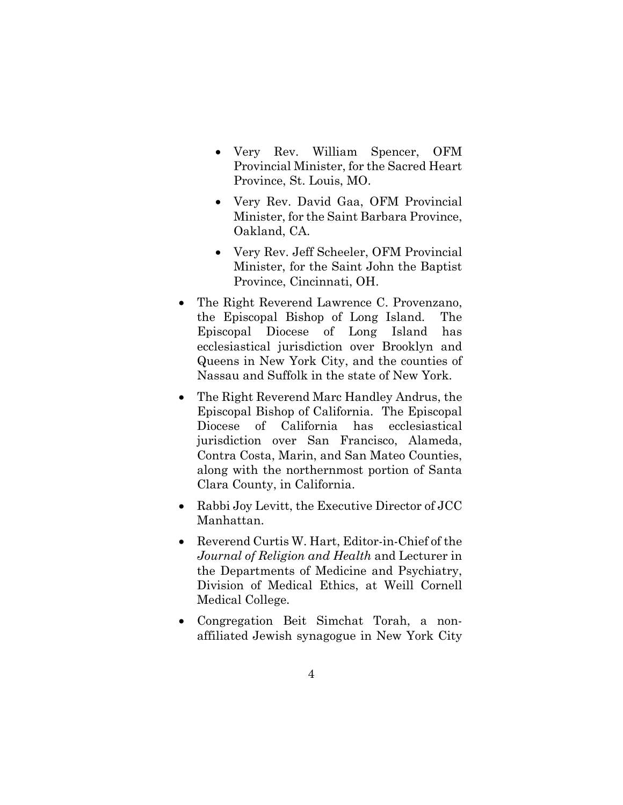- Very Rev. William Spencer, OFM Provincial Minister, for the Sacred Heart Province, St. Louis, MO.
- Very Rev. David Gaa, OFM Provincial Minister, for the Saint Barbara Province, Oakland, CA.
- Very Rev. Jeff Scheeler, OFM Provincial Minister, for the Saint John the Baptist Province, Cincinnati, OH.
- The Right Reverend Lawrence C. Provenzano, the Episcopal Bishop of Long Island. The Episcopal Diocese of Long Island has ecclesiastical jurisdiction over Brooklyn and Queens in New York City, and the counties of Nassau and Suffolk in the state of New York.
- The Right Reverend Marc Handley Andrus, the Episcopal Bishop of California. The Episcopal Diocese of California has ecclesiastical jurisdiction over San Francisco, Alameda, Contra Costa, Marin, and San Mateo Counties, along with the northernmost portion of Santa Clara County, in California.
- Rabbi Joy Levitt, the Executive Director of JCC Manhattan.
- Reverend Curtis W. Hart, Editor-in-Chief of the *Journal of Religion and Health* and Lecturer in the Departments of Medicine and Psychiatry, Division of Medical Ethics, at Weill Cornell Medical College.
- Congregation Beit Simchat Torah, a nonaffiliated Jewish synagogue in New York City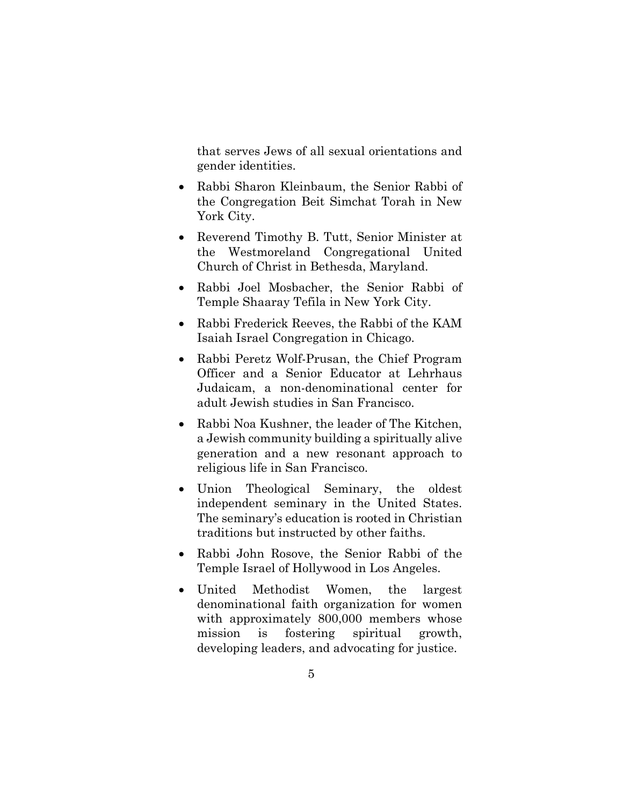that serves Jews of all sexual orientations and gender identities.

- Rabbi Sharon Kleinbaum, the Senior Rabbi of the Congregation Beit Simchat Torah in New York City.
- Reverend Timothy B. Tutt, Senior Minister at the Westmoreland Congregational United Church of Christ in Bethesda, Maryland.
- Rabbi Joel Mosbacher, the Senior Rabbi of Temple Shaaray Tefila in New York City.
- Rabbi Frederick Reeves, the Rabbi of the KAM Isaiah Israel Congregation in Chicago.
- Rabbi Peretz Wolf-Prusan, the Chief Program Officer and a Senior Educator at Lehrhaus Judaicam, a non-denominational center for adult Jewish studies in San Francisco.
- Rabbi Noa Kushner, the leader of The Kitchen, a Jewish community building a spiritually alive generation and a new resonant approach to religious life in San Francisco.
- Union Theological Seminary, the oldest independent seminary in the United States. The seminary's education is rooted in Christian traditions but instructed by other faiths.
- Rabbi John Rosove, the Senior Rabbi of the Temple Israel of Hollywood in Los Angeles.
- United Methodist Women, the largest denominational faith organization for women with approximately 800,000 members whose mission is fostering spiritual growth, developing leaders, and advocating for justice.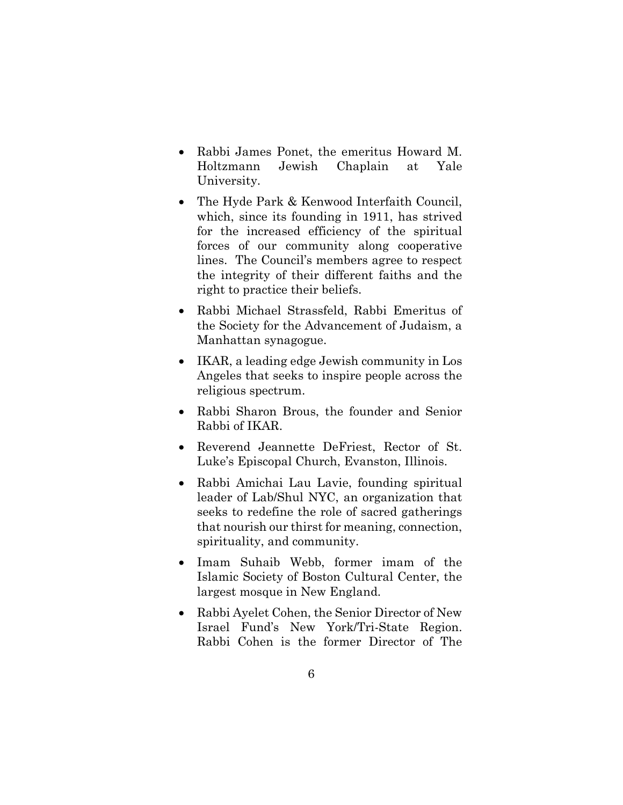- Rabbi James Ponet, the emeritus Howard M. Holtzmann Jewish Chaplain at Yale University.
- The Hyde Park & Kenwood Interfaith Council, which, since its founding in 1911, has strived for the increased efficiency of the spiritual forces of our community along cooperative lines. The Council's members agree to respect the integrity of their different faiths and the right to practice their beliefs.
- Rabbi Michael Strassfeld, Rabbi Emeritus of the Society for the Advancement of Judaism, a Manhattan synagogue.
- IKAR, a leading edge Jewish community in Los Angeles that seeks to inspire people across the religious spectrum.
- Rabbi Sharon Brous, the founder and Senior Rabbi of IKAR.
- Reverend Jeannette DeFriest, Rector of St. Luke's Episcopal Church, Evanston, Illinois.
- Rabbi Amichai Lau Lavie, founding spiritual leader of Lab/Shul NYC, an organization that seeks to redefine the role of sacred gatherings that nourish our thirst for meaning, connection, spirituality, and community.
- Imam Suhaib Webb, former imam of the Islamic Society of Boston Cultural Center, the largest mosque in New England.
- Rabbi Ayelet Cohen, the Senior Director of New Israel Fund's New York/Tri-State Region. Rabbi Cohen is the former Director of The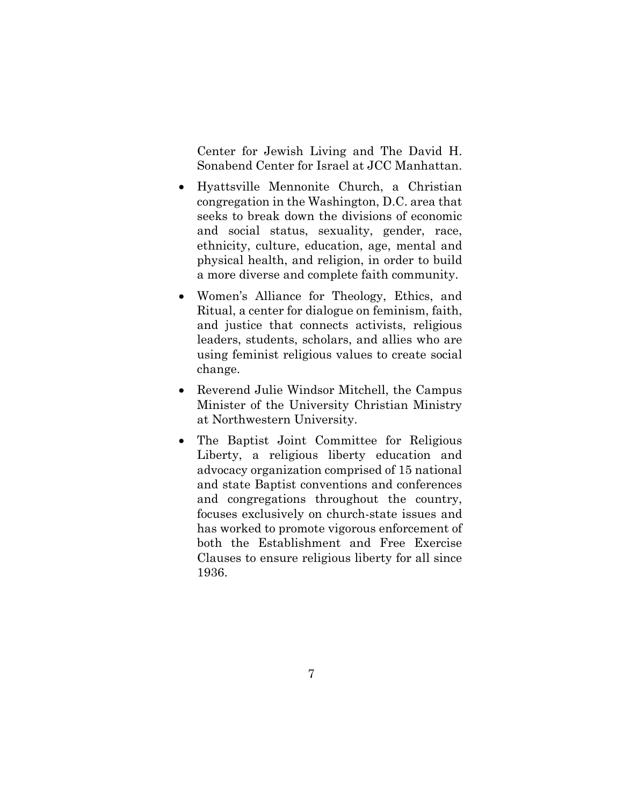Center for Jewish Living and The David H. Sonabend Center for Israel at JCC Manhattan.

- Hyattsville Mennonite Church, a Christian congregation in the Washington, D.C. area that seeks to break down the divisions of economic and social status, sexuality, gender, race, ethnicity, culture, education, age, mental and physical health, and religion, in order to build a more diverse and complete faith community.
- Women's Alliance for Theology, Ethics, and Ritual, a center for dialogue on feminism, faith, and justice that connects activists, religious leaders, students, scholars, and allies who are using feminist religious values to create social change.
- Reverend Julie Windsor Mitchell, the Campus Minister of the University Christian Ministry at Northwestern University.
- The Baptist Joint Committee for Religious Liberty, a religious liberty education and advocacy organization comprised of 15 national and state Baptist conventions and conferences and congregations throughout the country, focuses exclusively on church-state issues and has worked to promote vigorous enforcement of both the Establishment and Free Exercise Clauses to ensure religious liberty for all since 1936.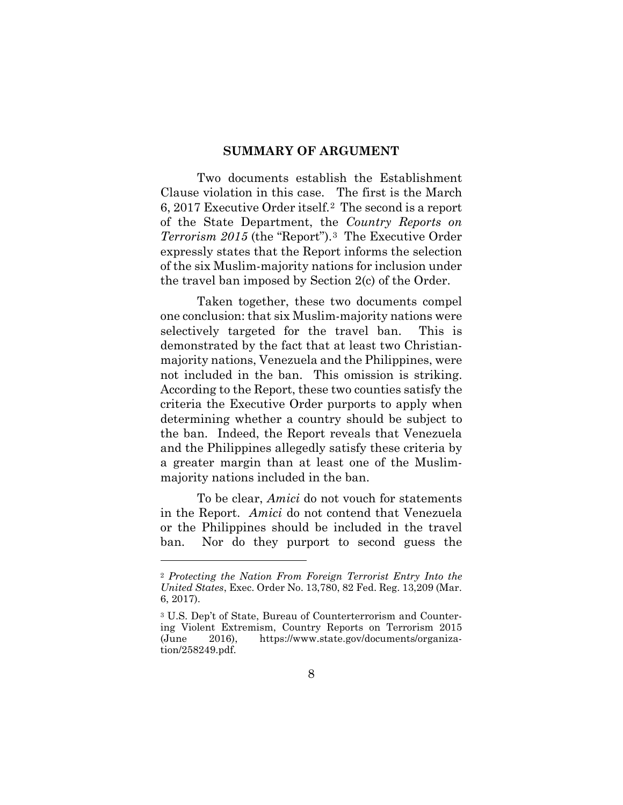#### **SUMMARY OF ARGUMENT**

<span id="page-13-0"></span>Two documents establish the Establishment Clause violation in this case. The first is the March 6, 2017 Executive Order itself.[2](#page-13-1) The second is a report of the State Department, the *Country Reports on Terrorism 2015* (the "Report").[3](#page-13-2) The Executive Order expressly states that the Report informs the selection of the six Muslim-majority nations for inclusion under the travel ban imposed by Section 2(c) of the Order.

Taken together, these two documents compel one conclusion: that six Muslim-majority nations were selectively targeted for the travel ban. This is demonstrated by the fact that at least two Christianmajority nations, Venezuela and the Philippines, were not included in the ban. This omission is striking. According to the Report, these two counties satisfy the criteria the Executive Order purports to apply when determining whether a country should be subject to the ban. Indeed, the Report reveals that Venezuela and the Philippines allegedly satisfy these criteria by a greater margin than at least one of the Muslimmajority nations included in the ban.

To be clear, *Amici* do not vouch for statements in the Report. *Amici* do not contend that Venezuela or the Philippines should be included in the travel ban. Nor do they purport to second guess the

<span id="page-13-1"></span><sup>2</sup> *Protecting the Nation From Foreign Terrorist Entry Into the United States*, Exec. Order No. 13,780, 82 Fed. Reg. 13,209 (Mar. 6, 2017).

<span id="page-13-2"></span><sup>3</sup> U.S. Dep't of State, Bureau of Counterterrorism and Countering Violent Extremism, Country Reports on Terrorism 2015 (June 2016), https://www.state.gov/documents/organization/258249.pdf.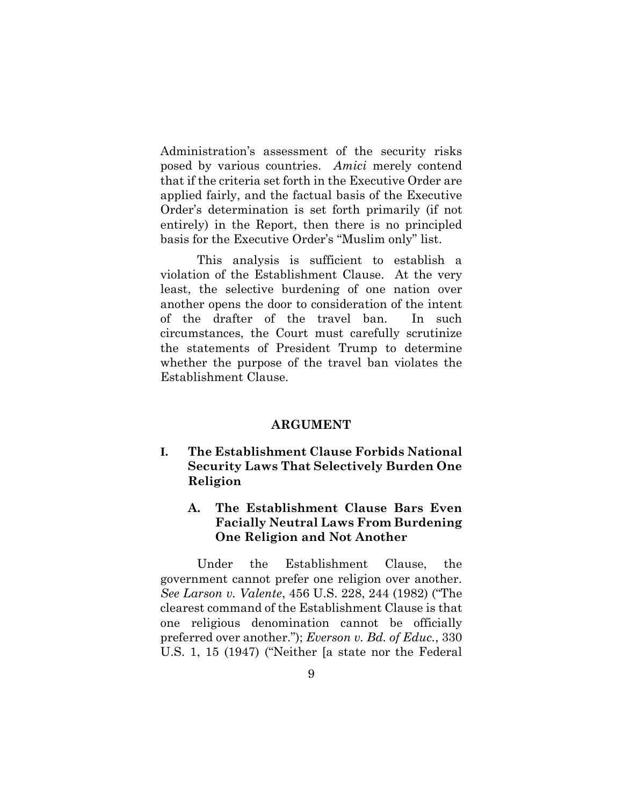Administration's assessment of the security risks posed by various countries. *Amici* merely contend that if the criteria set forth in the Executive Order are applied fairly, and the factual basis of the Executive Order's determination is set forth primarily (if not entirely) in the Report, then there is no principled basis for the Executive Order's "Muslim only" list.

This analysis is sufficient to establish a violation of the Establishment Clause. At the very least, the selective burdening of one nation over another opens the door to consideration of the intent of the drafter of the travel ban. In such circumstances, the Court must carefully scrutinize the statements of President Trump to determine whether the purpose of the travel ban violates the Establishment Clause.

#### <span id="page-14-2"></span>**ARGUMENT**

<span id="page-14-0"></span>**I. The Establishment Clause Forbids National Security Laws That Selectively Burden One Religion**

## <span id="page-14-1"></span>**A. The Establishment Clause Bars Even Facially Neutral Laws From Burdening One Religion and Not Another**

Under the Establishment Clause, the government cannot prefer one religion over another. *See Larson v. Valente*, 456 U.S. 228, 244 (1982) ("The clearest command of the Establishment Clause is that one religious denomination cannot be officially preferred over another."); *Everson v. Bd. of Educ.*, 330 U.S. 1, 15 (1947) ("Neither [a state nor the Federal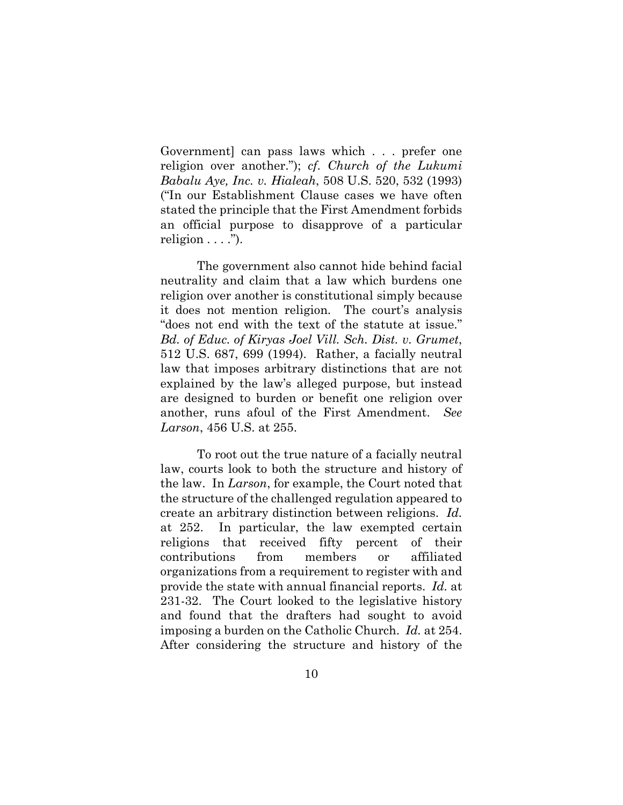Government] can pass laws which . . . prefer one religion over another."); *cf*. *Church of the Lukumi Babalu Aye, Inc. v. Hialeah*, 508 U.S. 520, 532 (1993) ("In our Establishment Clause cases we have often stated the principle that the First Amendment forbids an official purpose to disapprove of a particular religion  $\dots$ ").

The government also cannot hide behind facial neutrality and claim that a law which burdens one religion over another is constitutional simply because it does not mention religion. The court's analysis "does not end with the text of the statute at issue." *Bd. of Educ. of Kiryas Joel Vill. Sch. Dist. v. Grumet*, 512 U.S. 687, 699 (1994). Rather, a facially neutral law that imposes arbitrary distinctions that are not explained by the law's alleged purpose, but instead are designed to burden or benefit one religion over another, runs afoul of the First Amendment. *See Larson*, 456 U.S. at 255.

To root out the true nature of a facially neutral law, courts look to both the structure and history of the law. In *Larson*, for example, the Court noted that the structure of the challenged regulation appeared to create an arbitrary distinction between religions. *Id.* at 252. In particular, the law exempted certain religions that received fifty percent of their contributions from members or affiliated organizations from a requirement to register with and provide the state with annual financial reports. *Id.* at 231-32. The Court looked to the legislative history and found that the drafters had sought to avoid imposing a burden on the Catholic Church. *Id.* at 254. After considering the structure and history of the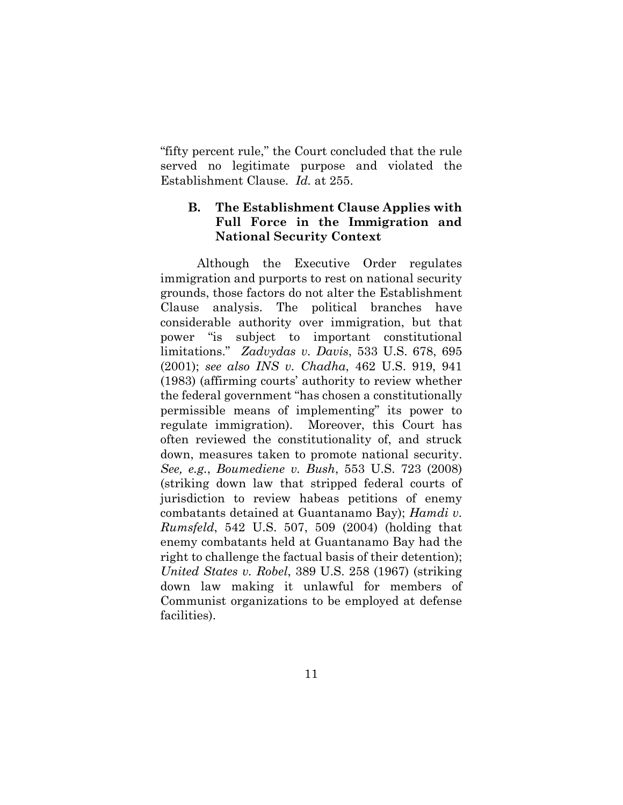"fifty percent rule," the Court concluded that the rule served no legitimate purpose and violated the Establishment Clause. *Id.* at 255.

## <span id="page-16-0"></span>**B. The Establishment Clause Applies with Full Force in the Immigration and National Security Context**

Although the Executive Order regulates immigration and purports to rest on national security grounds, those factors do not alter the Establishment Clause analysis. The political branches have considerable authority over immigration, but that power "is subject to important constitutional limitations." *Zadvydas v. Davis*, 533 U.S. 678, 695 (2001); *see also INS v. Chadha*, 462 U.S. 919, 941 (1983) (affirming courts' authority to review whether the federal government "has chosen a constitutionally permissible means of implementing" its power to regulate immigration). Moreover, this Court has often reviewed the constitutionality of, and struck down, measures taken to promote national security. *See, e.g.*, *Boumediene v. Bush*, 553 U.S. 723 (2008) (striking down law that stripped federal courts of jurisdiction to review habeas petitions of enemy combatants detained at Guantanamo Bay); *Hamdi v. Rumsfeld*, 542 U.S. 507, 509 (2004) (holding that enemy combatants held at Guantanamo Bay had the right to challenge the factual basis of their detention); *United States v. Robel*, 389 U.S. 258 (1967) (striking down law making it unlawful for members of Communist organizations to be employed at defense facilities).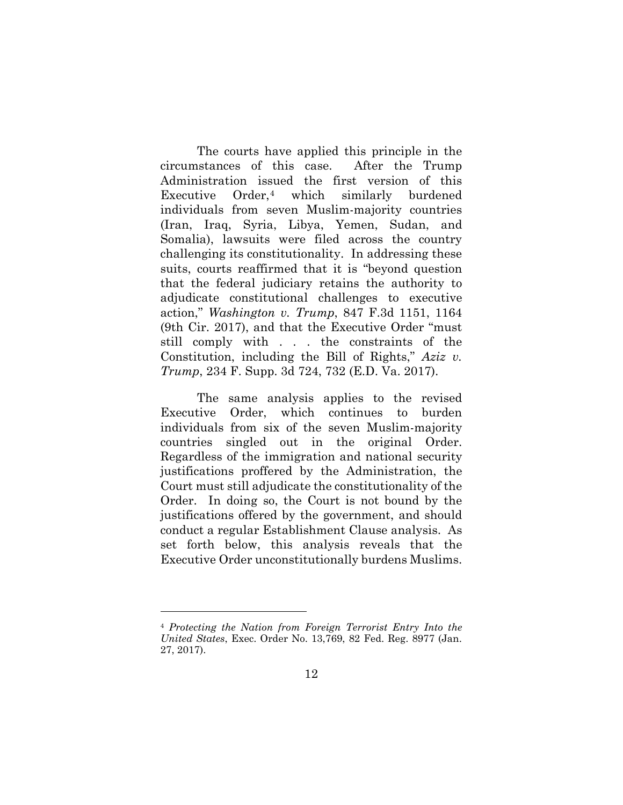The courts have applied this principle in the circumstances of this case. After the Trump Administration issued the first version of this Executive Order,[4](#page-17-0) which similarly burdened individuals from seven Muslim-majority countries (Iran, Iraq, Syria, Libya, Yemen, Sudan, and Somalia), lawsuits were filed across the country challenging its constitutionality. In addressing these suits, courts reaffirmed that it is "beyond question that the federal judiciary retains the authority to adjudicate constitutional challenges to executive action," *Washington v. Trump*, 847 F.3d 1151, 1164 (9th Cir. 2017), and that the Executive Order "must still comply with . . . the constraints of the Constitution, including the Bill of Rights," *Aziz v. Trump*, 234 F. Supp. 3d 724, 732 (E.D. Va. 2017).

The same analysis applies to the revised Executive Order, which continues to burden individuals from six of the seven Muslim-majority countries singled out in the original Order. Regardless of the immigration and national security justifications proffered by the Administration, the Court must still adjudicate the constitutionality of the Order. In doing so, the Court is not bound by the justifications offered by the government, and should conduct a regular Establishment Clause analysis. As set forth below, this analysis reveals that the Executive Order unconstitutionally burdens Muslims.

<span id="page-17-0"></span><sup>4</sup> *Protecting the Nation from Foreign Terrorist Entry Into the United States*, Exec. Order No. 13,769, 82 Fed. Reg. 8977 (Jan. 27, 2017).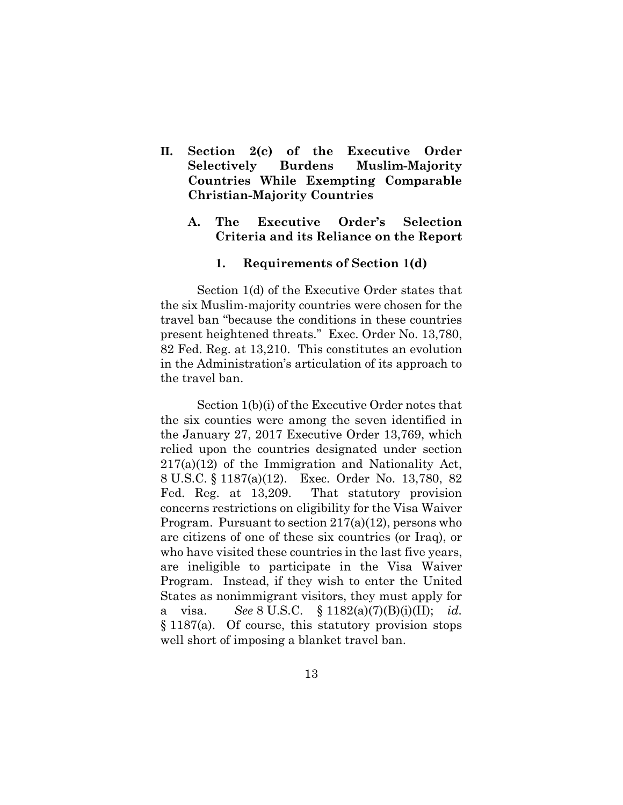- **II. Section 2(c) of the Executive Order Selectively Burdens Muslim-Majority Countries While Exempting Comparable Christian-Majority Countries**
	- **A. The Executive Order's Selection Criteria and its Reliance on the Report**

#### <span id="page-18-2"></span><span id="page-18-1"></span><span id="page-18-0"></span>**1. Requirements of Section 1(d)**

Section 1(d) of the Executive Order states that the six Muslim-majority countries were chosen for the travel ban "because the conditions in these countries present heightened threats." Exec. Order No. 13,780, 82 Fed. Reg. at 13,210. This constitutes an evolution in the Administration's articulation of its approach to the travel ban.

Section 1(b)(i) of the Executive Order notes that the six counties were among the seven identified in the January 27, 2017 Executive Order 13,769, which relied upon the countries designated under section 217(a)(12) of the Immigration and Nationality Act, 8 U.S.C. § 1187(a)(12). Exec. Order No. 13,780, 82 Fed. Reg. at 13,209. That statutory provision concerns restrictions on eligibility for the Visa Waiver Program. Pursuant to section 217(a)(12), persons who are citizens of one of these six countries (or Iraq), or who have visited these countries in the last five years, are ineligible to participate in the Visa Waiver Program. Instead, if they wish to enter the United States as nonimmigrant visitors, they must apply for a visa. *See* 8 U.S.C. § 1182(a)(7)(B)(i)(II); *id.*  § 1187(a). Of course, this statutory provision stops well short of imposing a blanket travel ban.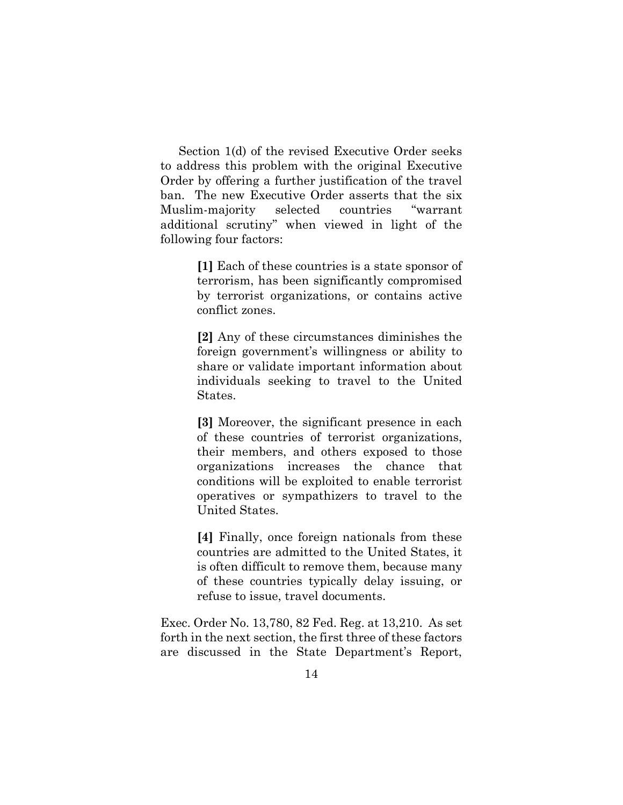Section 1(d) of the revised Executive Order seeks to address this problem with the original Executive Order by offering a further justification of the travel ban. The new Executive Order asserts that the six Muslim-majority selected countries "warrant additional scrutiny" when viewed in light of the following four factors:

> **[1]** Each of these countries is a state sponsor of terrorism, has been significantly compromised by terrorist organizations, or contains active conflict zones.

> **[2]** Any of these circumstances diminishes the foreign government's willingness or ability to share or validate important information about individuals seeking to travel to the United States.

> **[3]** Moreover, the significant presence in each of these countries of terrorist organizations, their members, and others exposed to those organizations increases the chance that conditions will be exploited to enable terrorist operatives or sympathizers to travel to the United States.

> **[4]** Finally, once foreign nationals from these countries are admitted to the United States, it is often difficult to remove them, because many of these countries typically delay issuing, or refuse to issue, travel documents.

Exec. Order No. 13,780, 82 Fed. Reg. at 13,210. As set forth in the next section, the first three of these factors are discussed in the State Department's Report,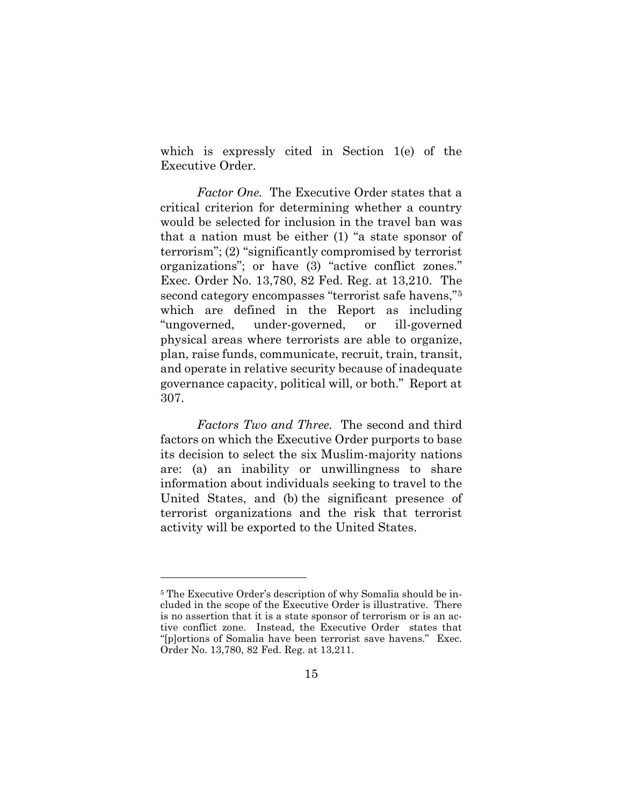which is expressly cited in Section 1(e) of the Executive Order.

*Factor One.* The Executive Order states that a critical criterion for determining whether a country would be selected for inclusion in the travel ban was that a nation must be either (1) "a state sponsor of terrorism"; (2) "significantly compromised by terrorist organizations"; or have (3) "active conflict zones." Exec. Order No. 13,780, 82 Fed. Reg. at 13,210. The second category encompasses "terrorist safe havens,"[5](#page-20-0) which are defined in the Report as including "ungoverned, under-governed, or ill-governed physical areas where terrorists are able to organize, plan, raise funds, communicate, recruit, train, transit, and operate in relative security because of inadequate governance capacity, political will, or both." Report at 307.

*Factors Two and Three.* The second and third factors on which the Executive Order purports to base its decision to select the six Muslim-majority nations are: (a) an inability or unwillingness to share information about individuals seeking to travel to the United States, and (b) the significant presence of terrorist organizations and the risk that terrorist activity will be exported to the United States.

<span id="page-20-0"></span><sup>5</sup> The Executive Order's description of why Somalia should be included in the scope of the Executive Order is illustrative. There is no assertion that it is a state sponsor of terrorism or is an active conflict zone. Instead, the Executive Order states that "[p]ortions of Somalia have been terrorist save havens." Exec. Order No. 13,780, 82 Fed. Reg. at 13,211.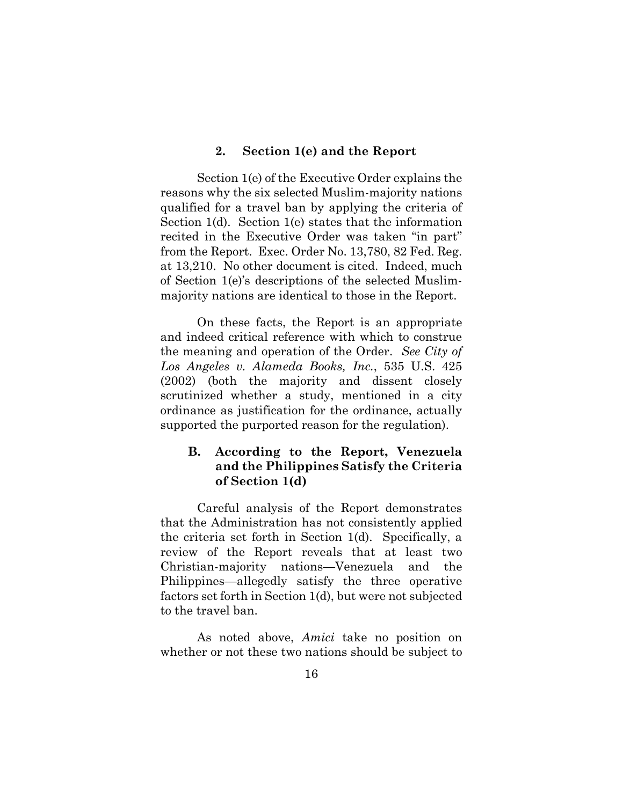#### <span id="page-21-0"></span>**2. Section 1(e) and the Report**

Section 1(e) of the Executive Order explains the reasons why the six selected Muslim-majority nations qualified for a travel ban by applying the criteria of Section 1(d). Section 1(e) states that the information recited in the Executive Order was taken "in part" from the Report. Exec. Order No. 13,780, 82 Fed. Reg. at 13,210. No other document is cited. Indeed, much of Section 1(e)'s descriptions of the selected Muslimmajority nations are identical to those in the Report.

On these facts, the Report is an appropriate and indeed critical reference with which to construe the meaning and operation of the Order. *See City of Los Angeles v. Alameda Books, Inc.*, 535 U.S. 425 (2002) (both the majority and dissent closely scrutinized whether a study, mentioned in a city ordinance as justification for the ordinance, actually supported the purported reason for the regulation).

### <span id="page-21-1"></span>**B. According to the Report, Venezuela and the Philippines Satisfy the Criteria of Section 1(d)**

Careful analysis of the Report demonstrates that the Administration has not consistently applied the criteria set forth in Section 1(d). Specifically, a review of the Report reveals that at least two Christian-majority nations—Venezuela and the Philippines—allegedly satisfy the three operative factors set forth in Section 1(d), but were not subjected to the travel ban.

As noted above, *Amici* take no position on whether or not these two nations should be subject to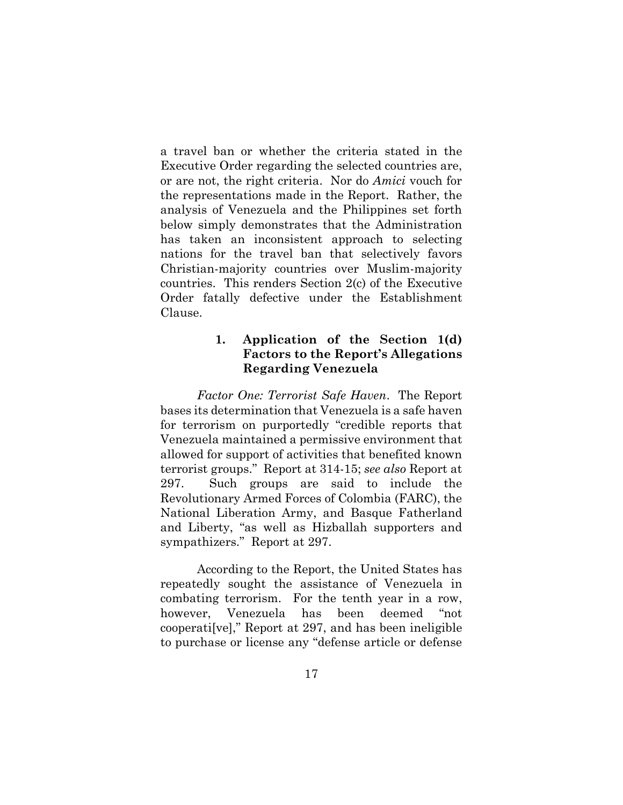a travel ban or whether the criteria stated in the Executive Order regarding the selected countries are, or are not, the right criteria. Nor do *Amici* vouch for the representations made in the Report. Rather, the analysis of Venezuela and the Philippines set forth below simply demonstrates that the Administration has taken an inconsistent approach to selecting nations for the travel ban that selectively favors Christian-majority countries over Muslim-majority countries. This renders Section 2(c) of the Executive Order fatally defective under the Establishment Clause.

## <span id="page-22-0"></span>**1. Application of the Section 1(d) Factors to the Report's Allegations Regarding Venezuela**

*Factor One: Terrorist Safe Haven*. The Report bases its determination that Venezuela is a safe haven for terrorism on purportedly "credible reports that Venezuela maintained a permissive environment that allowed for support of activities that benefited known terrorist groups." Report at 314-15; *see also* Report at 297. Such groups are said to include the Revolutionary Armed Forces of Colombia (FARC), the National Liberation Army, and Basque Fatherland and Liberty, "as well as Hizballah supporters and sympathizers." Report at 297.

According to the Report, the United States has repeatedly sought the assistance of Venezuela in combating terrorism. For the tenth year in a row, however, Venezuela has been deemed "not cooperati[ve]," Report at 297, and has been ineligible to purchase or license any "defense article or defense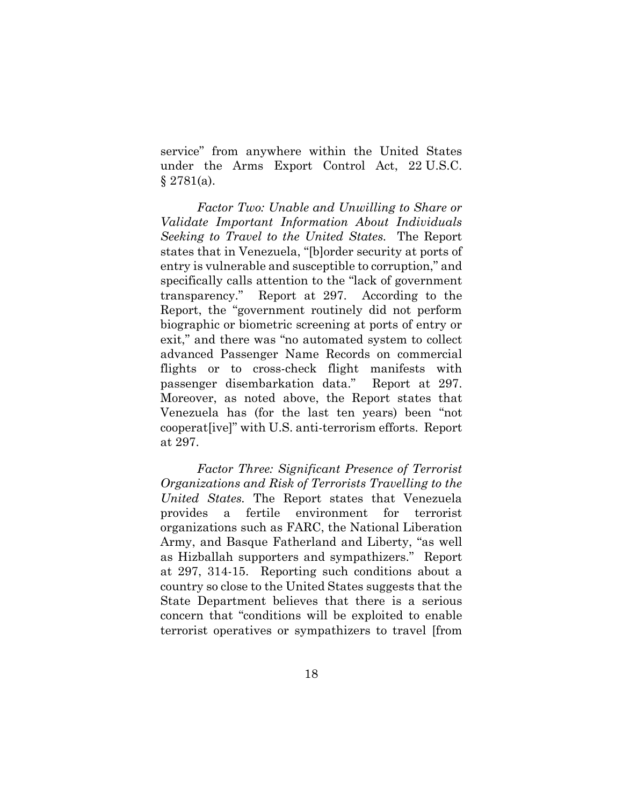service" from anywhere within the United States under the Arms Export Control Act, 22 U.S.C. § 2781(a).

*Factor Two: Unable and Unwilling to Share or Validate Important Information About Individuals Seeking to Travel to the United States.* The Report states that in Venezuela, "[b]order security at ports of entry is vulnerable and susceptible to corruption," and specifically calls attention to the "lack of government transparency." Report at 297. According to the Report, the "government routinely did not perform biographic or biometric screening at ports of entry or exit," and there was "no automated system to collect advanced Passenger Name Records on commercial flights or to cross-check flight manifests with passenger disembarkation data." Report at 297. Moreover, as noted above, the Report states that Venezuela has (for the last ten years) been "not cooperat[ive]" with U.S. anti-terrorism efforts. Report at 297.

*Factor Three: Significant Presence of Terrorist Organizations and Risk of Terrorists Travelling to the United States.* The Report states that Venezuela provides a fertile environment for terrorist organizations such as FARC, the National Liberation Army, and Basque Fatherland and Liberty, "as well as Hizballah supporters and sympathizers." Report at 297, 314-15. Reporting such conditions about a country so close to the United States suggests that the State Department believes that there is a serious concern that "conditions will be exploited to enable terrorist operatives or sympathizers to travel [from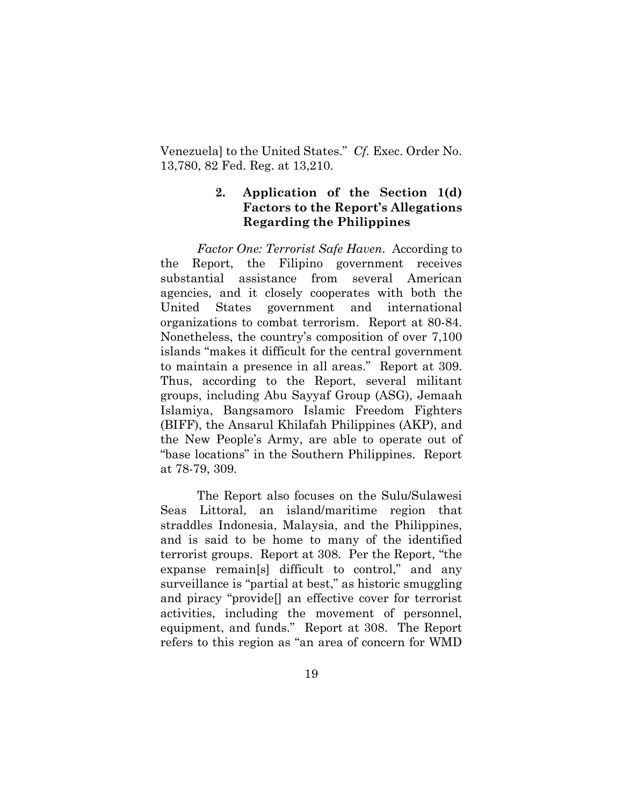Venezuela] to the United States." *Cf.* Exec. Order No. 13,780, 82 Fed. Reg. at 13,210.

## <span id="page-24-0"></span>**2. Application of the Section 1(d) Factors to the Report's Allegations Regarding the Philippines**

*Factor One: Terrorist Safe Haven.* According to the Report, the Filipino government receives substantial assistance from several American agencies, and it closely cooperates with both the United States government and international organizations to combat terrorism. Report at 80-84. Nonetheless, the country's composition of over 7,100 islands "makes it difficult for the central government to maintain a presence in all areas." Report at 309. Thus, according to the Report, several militant groups, including Abu Sayyaf Group (ASG), Jemaah Islamiya, Bangsamoro Islamic Freedom Fighters (BIFF), the Ansarul Khilafah Philippines (AKP), and the New People's Army, are able to operate out of "base locations" in the Southern Philippines. Report at 78-79, 309.

The Report also focuses on the Sulu/Sulawesi Seas Littoral, an island/maritime region that straddles Indonesia, Malaysia, and the Philippines, and is said to be home to many of the identified terrorist groups. Report at 308. Per the Report, "the expanse remain[s] difficult to control," and any surveillance is "partial at best," as historic smuggling and piracy "provide[] an effective cover for terrorist activities, including the movement of personnel, equipment, and funds." Report at 308. The Report refers to this region as "an area of concern for WMD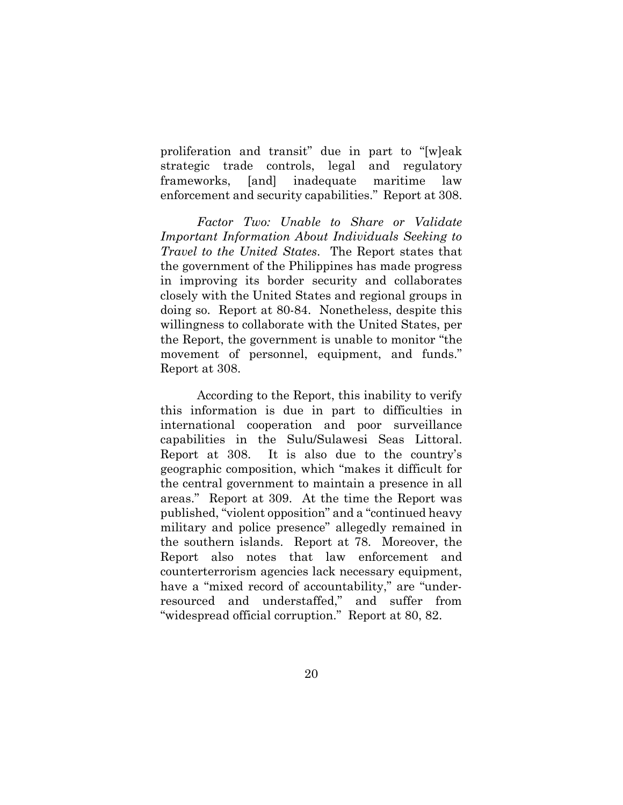proliferation and transit" due in part to "[w]eak strategic trade controls, legal and regulatory frameworks, [and] inadequate maritime law enforcement and security capabilities." Report at 308.

*Factor Two: Unable to Share or Validate Important Information About Individuals Seeking to Travel to the United States*. The Report states that the government of the Philippines has made progress in improving its border security and collaborates closely with the United States and regional groups in doing so. Report at 80-84. Nonetheless, despite this willingness to collaborate with the United States, per the Report, the government is unable to monitor "the movement of personnel, equipment, and funds." Report at 308.

According to the Report, this inability to verify this information is due in part to difficulties in international cooperation and poor surveillance capabilities in the Sulu/Sulawesi Seas Littoral. Report at 308. It is also due to the country's geographic composition, which "makes it difficult for the central government to maintain a presence in all areas." Report at 309. At the time the Report was published, "violent opposition" and a "continued heavy military and police presence" allegedly remained in the southern islands. Report at 78. Moreover, the Report also notes that law enforcement and counterterrorism agencies lack necessary equipment, have a "mixed record of accountability," are "underresourced and understaffed," and suffer from "widespread official corruption." Report at 80, 82.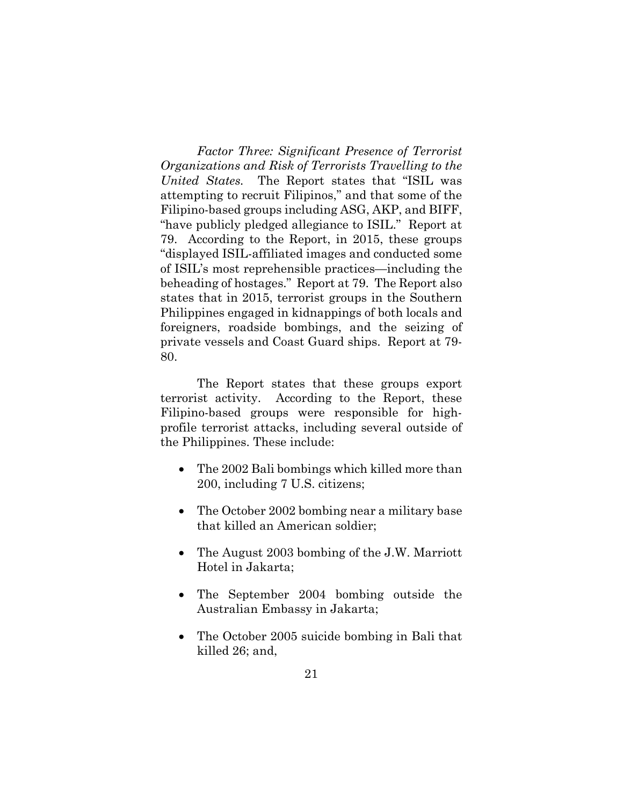*Factor Three: Significant Presence of Terrorist Organizations and Risk of Terrorists Travelling to the United States.* The Report states that "ISIL was attempting to recruit Filipinos," and that some of the Filipino-based groups including ASG, AKP, and BIFF, "have publicly pledged allegiance to ISIL." Report at 79. According to the Report, in 2015, these groups "displayed ISIL-affiliated images and conducted some of ISIL's most reprehensible practices—including the beheading of hostages." Report at 79. The Report also states that in 2015, terrorist groups in the Southern Philippines engaged in kidnappings of both locals and foreigners, roadside bombings, and the seizing of private vessels and Coast Guard ships. Report at 79- 80.

The Report states that these groups export terrorist activity. According to the Report, these Filipino-based groups were responsible for highprofile terrorist attacks, including several outside of the Philippines. These include:

- The 2002 Bali bombings which killed more than 200, including 7 U.S. citizens;
- The October 2002 bombing near a military base that killed an American soldier;
- The August 2003 bombing of the J.W. Marriott Hotel in Jakarta;
- The September 2004 bombing outside the Australian Embassy in Jakarta;
- The October 2005 suicide bombing in Bali that killed 26; and,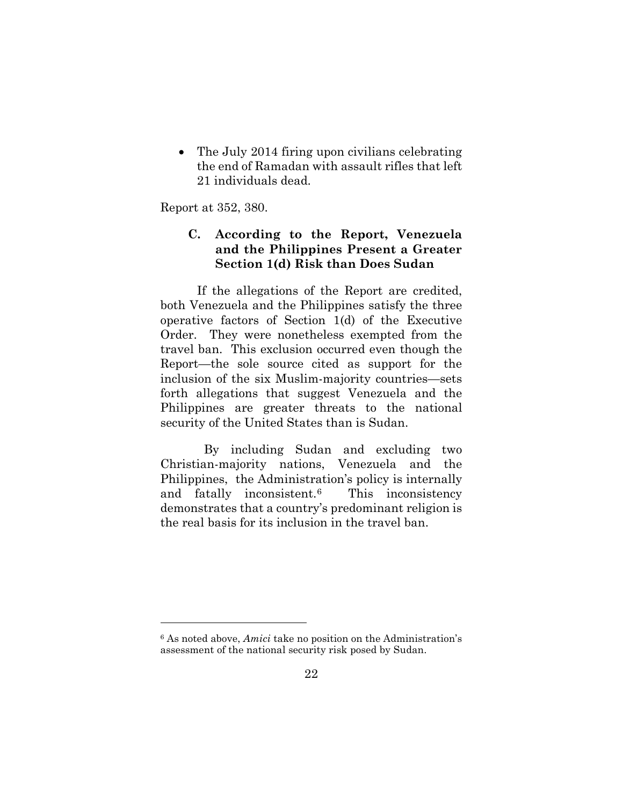• The July 2014 firing upon civilians celebrating the end of Ramadan with assault rifles that left 21 individuals dead.

Report at 352, 380.

l

## <span id="page-27-0"></span>**C. According to the Report, Venezuela and the Philippines Present a Greater Section 1(d) Risk than Does Sudan**

If the allegations of the Report are credited, both Venezuela and the Philippines satisfy the three operative factors of Section 1(d) of the Executive Order. They were nonetheless exempted from the travel ban. This exclusion occurred even though the Report—the sole source cited as support for the inclusion of the six Muslim-majority countries—sets forth allegations that suggest Venezuela and the Philippines are greater threats to the national security of the United States than is Sudan.

 By including Sudan and excluding two Christian-majority nations, Venezuela and the Philippines, the Administration's policy is internally and fatally inconsistent.[6](#page-27-1) This inconsistency demonstrates that a country's predominant religion is the real basis for its inclusion in the travel ban.

<span id="page-27-1"></span><sup>6</sup> As noted above, *Amici* take no position on the Administration's assessment of the national security risk posed by Sudan.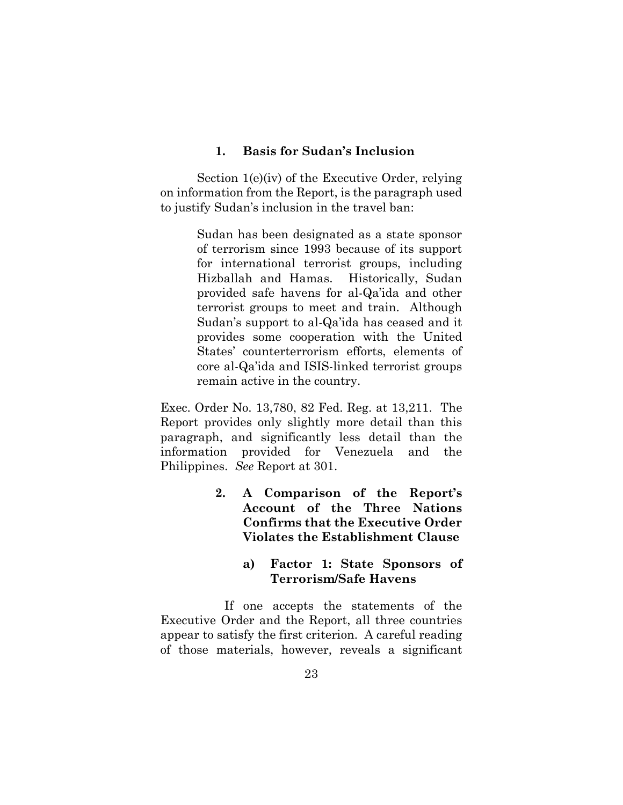#### <span id="page-28-0"></span>**1. Basis for Sudan's Inclusion**

Section 1(e)(iv) of the Executive Order, relying on information from the Report, is the paragraph used to justify Sudan's inclusion in the travel ban:

> Sudan has been designated as a state sponsor of terrorism since 1993 because of its support for international terrorist groups, including Hizballah and Hamas. Historically, Sudan provided safe havens for al-Qa'ida and other terrorist groups to meet and train. Although Sudan's support to al-Qa'ida has ceased and it provides some cooperation with the United States' counterterrorism efforts, elements of core al-Qa'ida and ISIS-linked terrorist groups remain active in the country.

Exec. Order No. 13,780, 82 Fed. Reg. at 13,211. The Report provides only slightly more detail than this paragraph, and significantly less detail than the information provided for Venezuela and the Philippines. *See* Report at 301.

- <span id="page-28-1"></span>**2. A Comparison of the Report's Account of the Three Nations Confirms that the Executive Order Violates the Establishment Clause**
	- **a) Factor 1: State Sponsors of Terrorism/Safe Havens**

If one accepts the statements of the Executive Order and the Report, all three countries appear to satisfy the first criterion. A careful reading of those materials, however, reveals a significant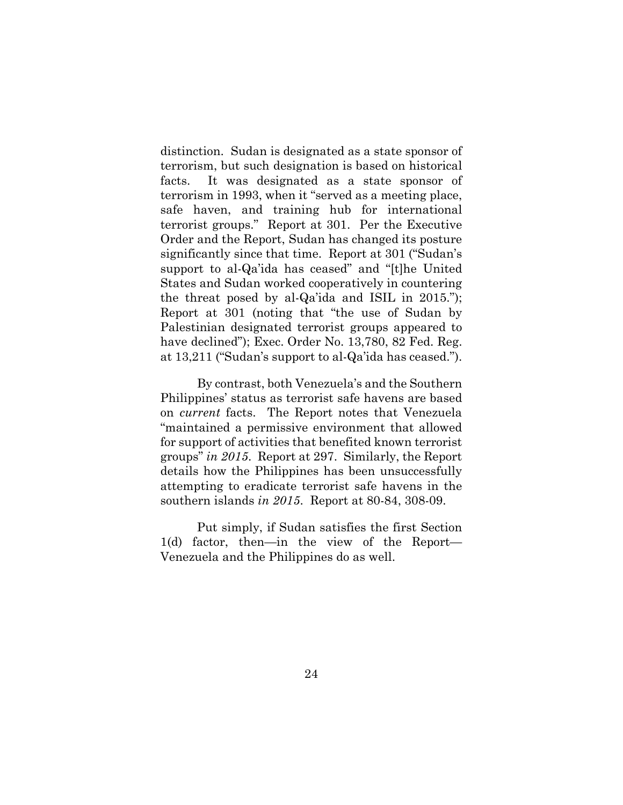distinction. Sudan is designated as a state sponsor of terrorism, but such designation is based on historical facts. It was designated as a state sponsor of terrorism in 1993, when it "served as a meeting place, safe haven, and training hub for international terrorist groups." Report at 301. Per the Executive Order and the Report, Sudan has changed its posture significantly since that time. Report at 301 ("Sudan's support to al-Qa'ida has ceased" and "[t]he United States and Sudan worked cooperatively in countering the threat posed by al-Qa'ida and ISIL in 2015."); Report at 301 (noting that "the use of Sudan by Palestinian designated terrorist groups appeared to have declined"); Exec. Order No. 13,780, 82 Fed. Reg. at 13,211 ("Sudan's support to al-Qa'ida has ceased.").

By contrast, both Venezuela's and the Southern Philippines' status as terrorist safe havens are based on *current* facts. The Report notes that Venezuela "maintained a permissive environment that allowed for support of activities that benefited known terrorist groups" *in 2015*. Report at 297. Similarly, the Report details how the Philippines has been unsuccessfully attempting to eradicate terrorist safe havens in the southern islands *in 2015*. Report at 80-84, 308-09.

Put simply, if Sudan satisfies the first Section 1(d) factor, then—in the view of the Report— Venezuela and the Philippines do as well.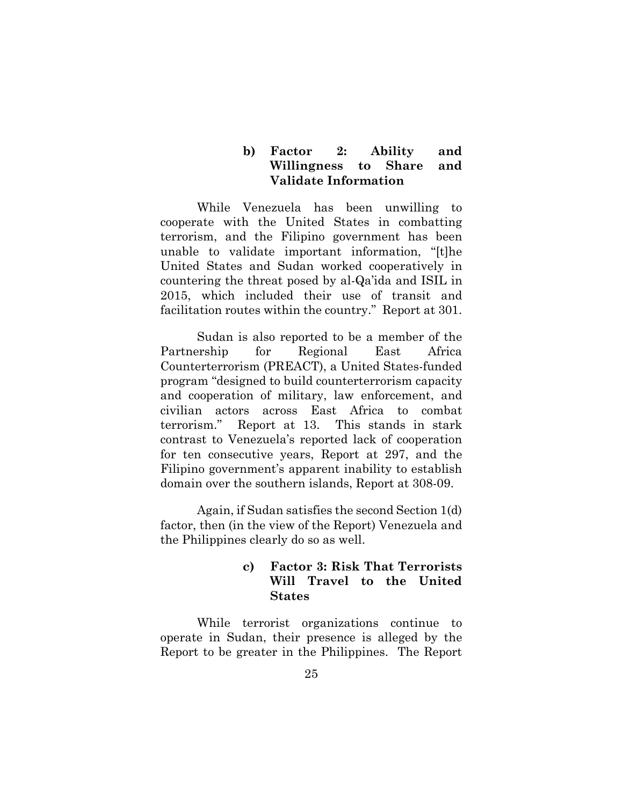### **b) Factor 2: Ability and Willingness to Share and Validate Information**

While Venezuela has been unwilling to cooperate with the United States in combatting terrorism, and the Filipino government has been unable to validate important information, "[t]he United States and Sudan worked cooperatively in countering the threat posed by al-Qa'ida and ISIL in 2015, which included their use of transit and facilitation routes within the country." Report at 301.

Sudan is also reported to be a member of the Partnership for Regional East Africa Counterterrorism (PREACT), a United States-funded program "designed to build counterterrorism capacity and cooperation of military, law enforcement, and civilian actors across East Africa to combat terrorism." Report at 13. This stands in stark contrast to Venezuela's reported lack of cooperation for ten consecutive years, Report at 297, and the Filipino government's apparent inability to establish domain over the southern islands, Report at 308-09.

Again, if Sudan satisfies the second Section 1(d) factor, then (in the view of the Report) Venezuela and the Philippines clearly do so as well.

## **c) Factor 3: Risk That Terrorists Will Travel to the United States**

While terrorist organizations continue to operate in Sudan, their presence is alleged by the Report to be greater in the Philippines. The Report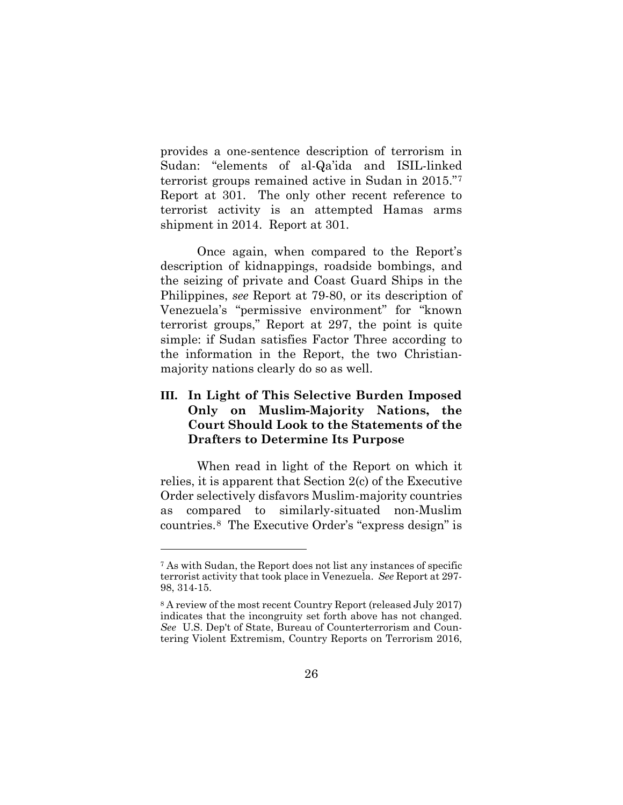provides a one-sentence description of terrorism in Sudan: "elements of al-Qa'ida and ISIL-linked terrorist groups remained active in Sudan in 2015."[7](#page-31-1) Report at 301. The only other recent reference to terrorist activity is an attempted Hamas arms shipment in 2014. Report at 301.

Once again, when compared to the Report's description of kidnappings, roadside bombings, and the seizing of private and Coast Guard Ships in the Philippines, *see* Report at 79-80, or its description of Venezuela's "permissive environment" for "known terrorist groups," Report at 297, the point is quite simple: if Sudan satisfies Factor Three according to the information in the Report, the two Christianmajority nations clearly do so as well.

## **III. In Light of This Selective Burden Imposed Only on Muslim-Majority Nations, the Court Should Look to the Statements of the Drafters to Determine Its Purpose**

<span id="page-31-0"></span>When read in light of the Report on which it relies, it is apparent that Section 2(c) of the Executive Order selectively disfavors Muslim-majority countries as compared to similarly-situated non-Muslim countries.[8](#page-31-2) The Executive Order's "express design" is

<span id="page-31-1"></span><sup>7</sup> As with Sudan, the Report does not list any instances of specific terrorist activity that took place in Venezuela. *See* Report at 297- 98, 314-15.

<span id="page-31-2"></span><sup>8</sup> A review of the most recent Country Report (released July 2017) indicates that the incongruity set forth above has not changed. *See* U.S. Dep't of State, Bureau of Counterterrorism and Countering Violent Extremism, Country Reports on Terrorism 2016,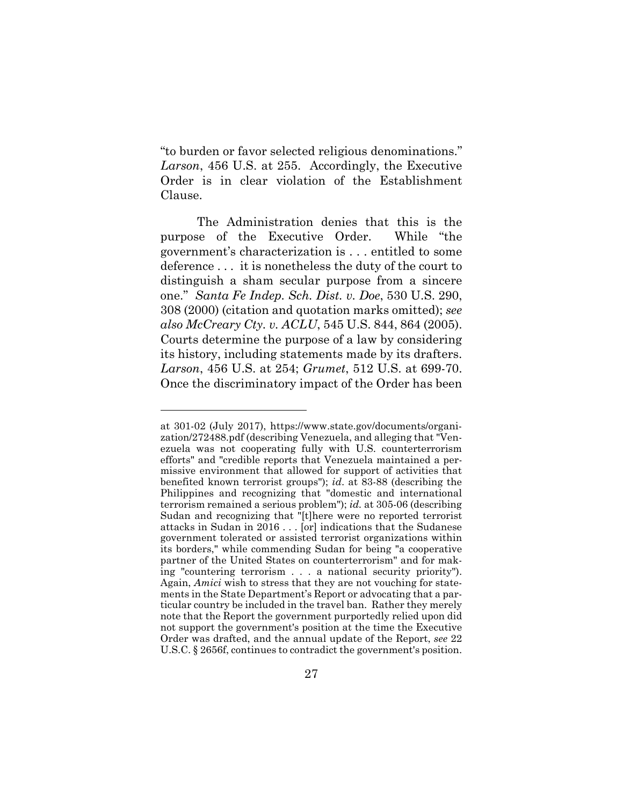"to burden or favor selected religious denominations." *Larson*, 456 U.S. at 255. Accordingly, the Executive Order is in clear violation of the Establishment Clause.

The Administration denies that this is the purpose of the Executive Order. While "the government's characterization is . . . entitled to some deference . . . it is nonetheless the duty of the court to distinguish a sham secular purpose from a sincere one." *Santa Fe Indep. Sch. Dist. v. Doe*, 530 U.S. 290, 308 (2000) (citation and quotation marks omitted); *see also McCreary Cty. v. ACLU*, 545 U.S. 844, 864 (2005). Courts determine the purpose of a law by considering its history, including statements made by its drafters. *Larson*, 456 U.S. at 254; *Grumet*, 512 U.S. at 699-70. Once the discriminatory impact of the Order has been

at 301-02 (July 2017), https://www.state.gov/documents/organization/272488.pdf (describing Venezuela, and alleging that "Venezuela was not cooperating fully with U.S. counterterrorism efforts" and "credible reports that Venezuela maintained a permissive environment that allowed for support of activities that benefited known terrorist groups"); *id*. at 83-88 (describing the Philippines and recognizing that "domestic and international terrorism remained a serious problem"); *id.* at 305-06 (describing Sudan and recognizing that "[t]here were no reported terrorist attacks in Sudan in 2016 . . . [or] indications that the Sudanese government tolerated or assisted terrorist organizations within its borders," while commending Sudan for being "a cooperative partner of the United States on counterterrorism" and for making "countering terrorism . . . a national security priority"). Again, *Amici* wish to stress that they are not vouching for statements in the State Department's Report or advocating that a particular country be included in the travel ban. Rather they merely note that the Report the government purportedly relied upon did not support the government's position at the time the Executive Order was drafted, and the annual update of the Report, *see* 22 U.S.C. § 2656f, continues to contradict the government's position.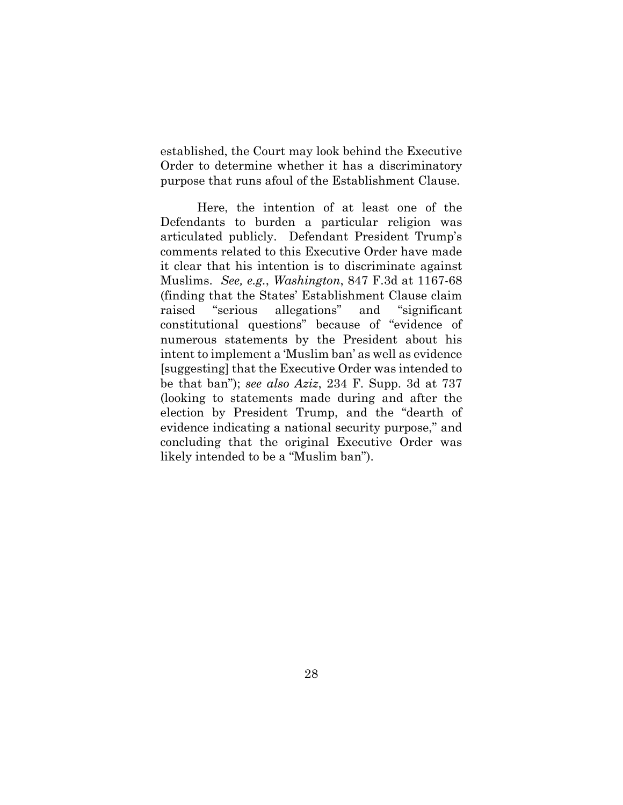established, the Court may look behind the Executive Order to determine whether it has a discriminatory purpose that runs afoul of the Establishment Clause.

Here, the intention of at least one of the Defendants to burden a particular religion was articulated publicly. Defendant President Trump's comments related to this Executive Order have made it clear that his intention is to discriminate against Muslims. *See, e.g.*, *Washington*, 847 F.3d at 1167-68 (finding that the States' Establishment Clause claim raised "serious allegations" and "significant constitutional questions" because of "evidence of numerous statements by the President about his intent to implement a 'Muslim ban' as well as evidence [suggesting] that the Executive Order was intended to be that ban"); *see also Aziz*, 234 F. Supp. 3d at 737 (looking to statements made during and after the election by President Trump, and the "dearth of evidence indicating a national security purpose," and concluding that the original Executive Order was likely intended to be a "Muslim ban").